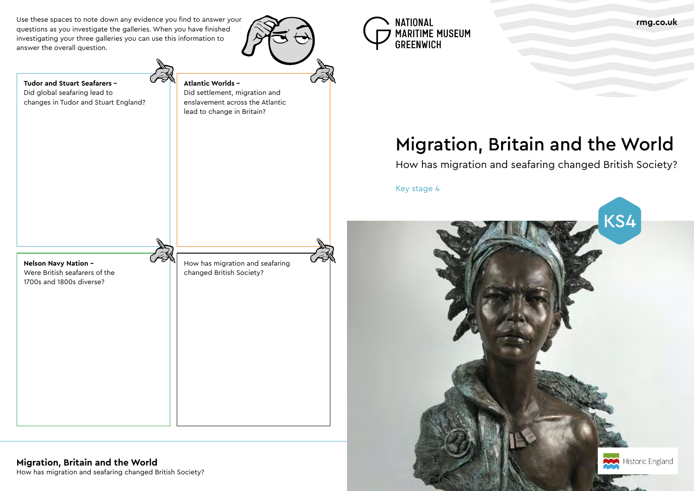How has migration and seafaring changed British Society?

# Migration, Britain and the World

# How has migration and seafaring changed British Society?

Key stage 4

Use these spaces to note down any evidence you find to answer your questions as you investigate the galleries. When you have finished investigating your three galleries you can use this information to answer the overall question.







**Tudor and Stuart Seafarers –** Did global seafaring lead to

changes in Tudor and Stuart England?

**Atlantic Worlds –**

Did settlement, migration and enslavement across the Atlantic

lead to change in Britain?

## **Migration, Britain and the World**

**Nelson Navy Nation –** Were British seafarers of the

1700s and 1800s diverse?

How has migration and seafaring changed British Society?